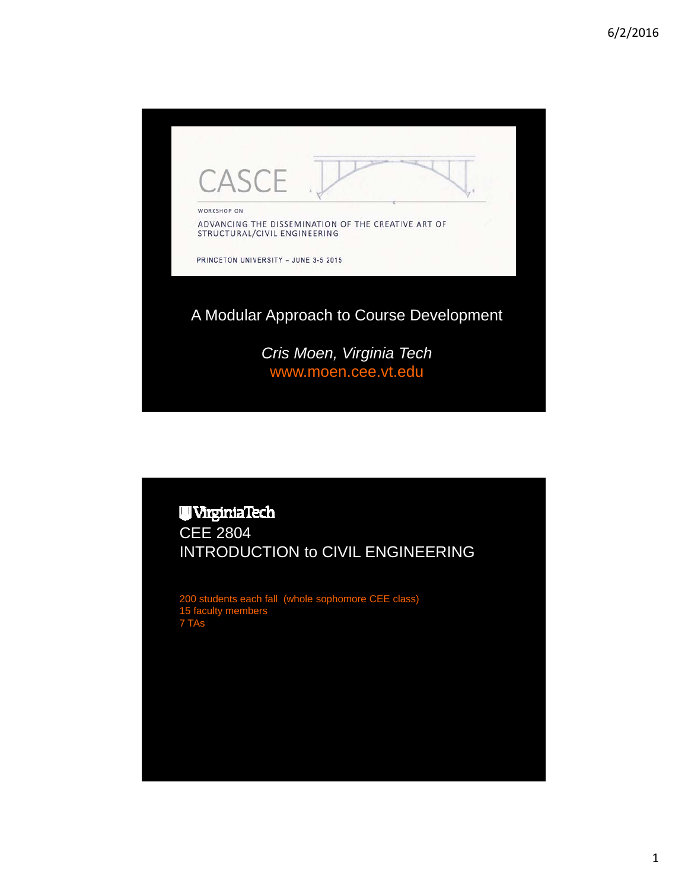

# **UVirginiaTech** CEE 2804 INTRODUCTION to CIVIL ENGINEERING

200 students each fall (whole sophomore CEE class) 15 faculty members 7 TAs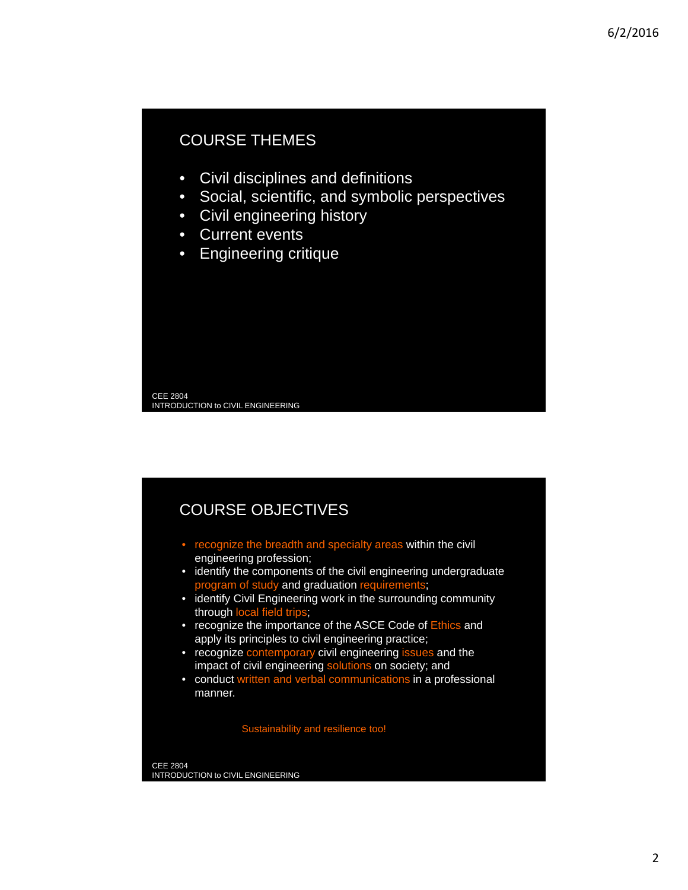# COURSE THEMES

- Civil disciplines and definitions
- Social, scientific, and symbolic perspectives
- Civil engineering history
- Current events
- Engineering critique

CEE 2804 INTRODUCTION to CIVIL ENGINEERING

# COURSE OBJECTIVES

- recognize the breadth and specialty areas within the civil engineering profession;
- identify the components of the civil engineering undergraduate program of study and graduation requirements;
- identify Civil Engineering work in the surrounding community through local field trips;
- recognize the importance of the ASCE Code of Ethics and apply its principles to civil engineering practice;
- recognize contemporary civil engineering issues and the impact of civil engineering solutions on society; and
- conduct written and verbal communications in a professional manner.

Sustainability and resilience too!

CEE 2804 INTRODUCTION to CIVIL ENGINEERING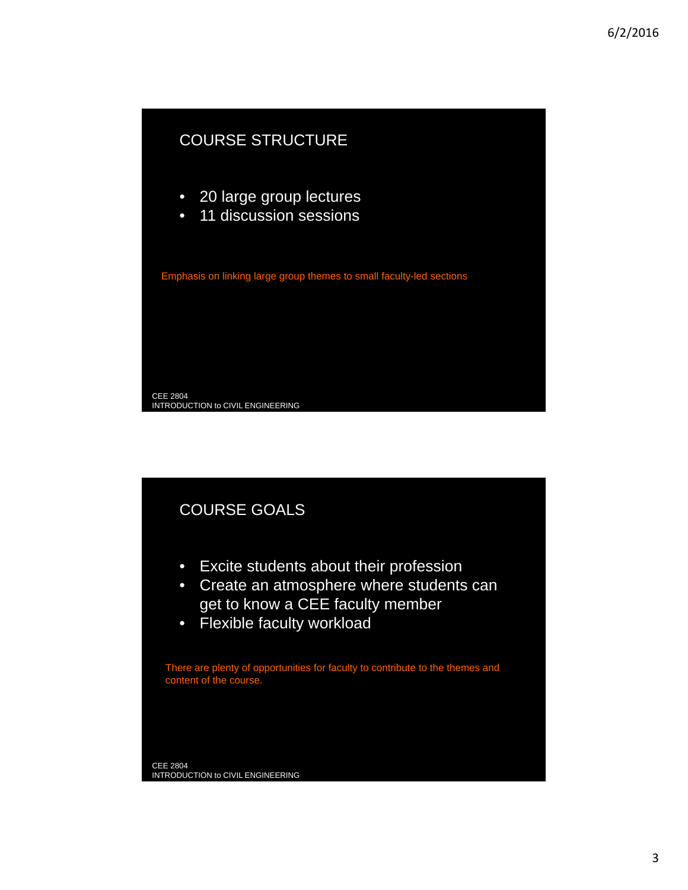

# COURSE GOALS

- Excite students about their profession
- Create an atmosphere where students can get to know a CEE faculty member
- Flexible faculty workload

There are plenty of opportunities for faculty to contribute to the themes and content of the course.

CEE 2804 INTRODUCTION to CIVIL ENGINEERING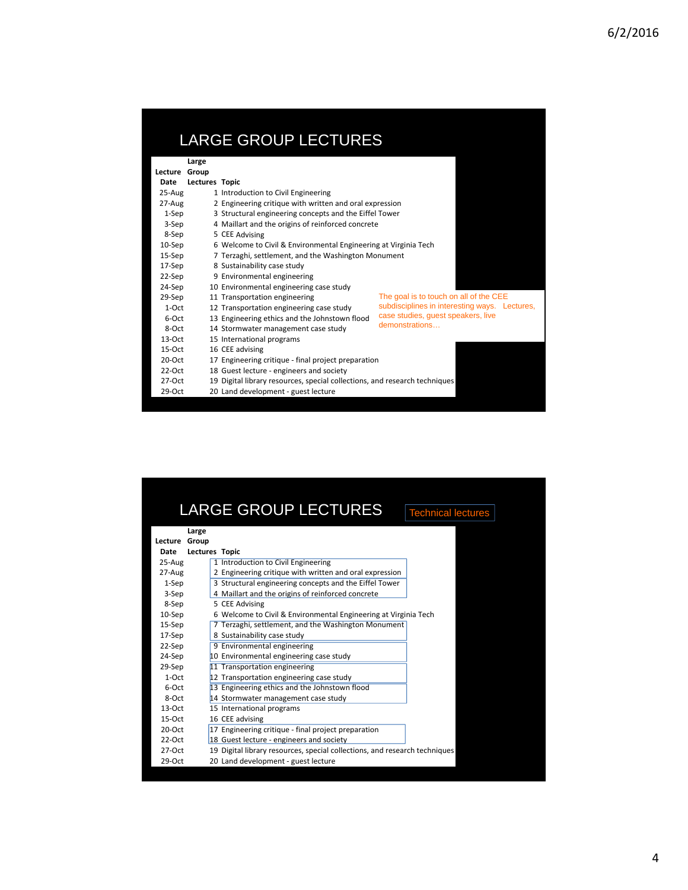| <b>LARGE GROUP LECTURES</b> |                       |                                                                            |                                                      |  |  |
|-----------------------------|-----------------------|----------------------------------------------------------------------------|------------------------------------------------------|--|--|
|                             | Large                 |                                                                            |                                                      |  |  |
| Lecture Group               |                       |                                                                            |                                                      |  |  |
| Date                        | <b>Lectures Topic</b> |                                                                            |                                                      |  |  |
| 25-Aug                      |                       | 1 Introduction to Civil Engineering                                        |                                                      |  |  |
| 27-Aug                      |                       | 2 Engineering critique with written and oral expression                    |                                                      |  |  |
| $1-Sep$                     |                       | 3 Structural engineering concepts and the Eiffel Tower                     |                                                      |  |  |
| 3-Sep                       |                       | 4 Maillart and the origins of reinforced concrete                          |                                                      |  |  |
| 8-Sep                       |                       | 5 CEE Advising                                                             |                                                      |  |  |
| $10-$ Sep                   |                       | 6 Welcome to Civil & Environmental Engineering at Virginia Tech            |                                                      |  |  |
| 15-Sep                      |                       | 7 Terzaghi, settlement, and the Washington Monument                        |                                                      |  |  |
| 17-Sep                      |                       | 8 Sustainability case study                                                |                                                      |  |  |
| 22-Sep                      |                       | 9 Environmental engineering                                                |                                                      |  |  |
| 24-Sep                      |                       | 10 Environmental engineering case study                                    |                                                      |  |  |
| 29-Sep                      |                       | 11 Transportation engineering                                              | The goal is to touch on all of the CEE               |  |  |
| $1-Ort$                     |                       | 12 Transportation engineering case study                                   | subdisciplines in interesting ways. Lectures,        |  |  |
| 6-Oct                       |                       | 13 Engineering ethics and the Johnstown flood                              | case studies, quest speakers, live<br>demonstrations |  |  |
| 8-Oct                       |                       | 14 Stormwater management case study                                        |                                                      |  |  |
| $13-Ort$                    |                       | 15 International programs                                                  |                                                      |  |  |
| $15-Ort$                    |                       | 16 CEE advising                                                            |                                                      |  |  |
| $20-Ort$                    |                       | 17 Engineering critique - final project preparation                        |                                                      |  |  |
| $22-Ort$                    |                       | 18 Guest lecture - engineers and society                                   |                                                      |  |  |
| $27-Ort$                    |                       | 19 Digital library resources, special collections, and research techniques |                                                      |  |  |
| $29-Oct$                    |                       | 20 Land development - guest lecture                                        |                                                      |  |  |

|           | <b>LARGE GROUP LECTURES</b>                                                | <b>Technical lectures</b> |
|-----------|----------------------------------------------------------------------------|---------------------------|
|           | Large                                                                      |                           |
| Lecture   | Group                                                                      |                           |
| Date      | <b>Lectures Topic</b>                                                      |                           |
| 25-Aug    | 1 Introduction to Civil Engineering                                        |                           |
| 27-Aug    | 2 Engineering critique with written and oral expression                    |                           |
| $1-Sep$   | 3 Structural engineering concepts and the Eiffel Tower                     |                           |
| 3-Sep     | 4 Maillart and the origins of reinforced concrete                          |                           |
| 8-Sep     | 5 CEE Advising                                                             |                           |
| $10-$ Sep | 6 Welcome to Civil & Environmental Engineering at Virginia Tech            |                           |
| 15-Sep    | 7 Terzaghi, settlement, and the Washington Monument                        |                           |
| 17-Sep    | 8 Sustainability case study                                                |                           |
| 22-Sep    | 9 Environmental engineering                                                |                           |
| 24-Sep    | 10 Environmental engineering case study                                    |                           |
| 29-Sep    | 11 Transportation engineering                                              |                           |
| $1-Ort$   | 12 Transportation engineering case study                                   |                           |
| $6-0ct$   | 13 Engineering ethics and the Johnstown flood                              |                           |
| 8-Oct     | 14 Stormwater management case study                                        |                           |
| $13-Ort$  | 15 International programs                                                  |                           |
| $15-Ort$  | 16 CEE advising                                                            |                           |
| $20-Ort$  | 17 Engineering critique - final project preparation                        |                           |
| $22-Ort$  | 18 Guest lecture - engineers and society                                   |                           |
| $27-Ort$  | 19 Digital library resources, special collections, and research techniques |                           |
| $29-Oct$  | 20 Land development - guest lecture                                        |                           |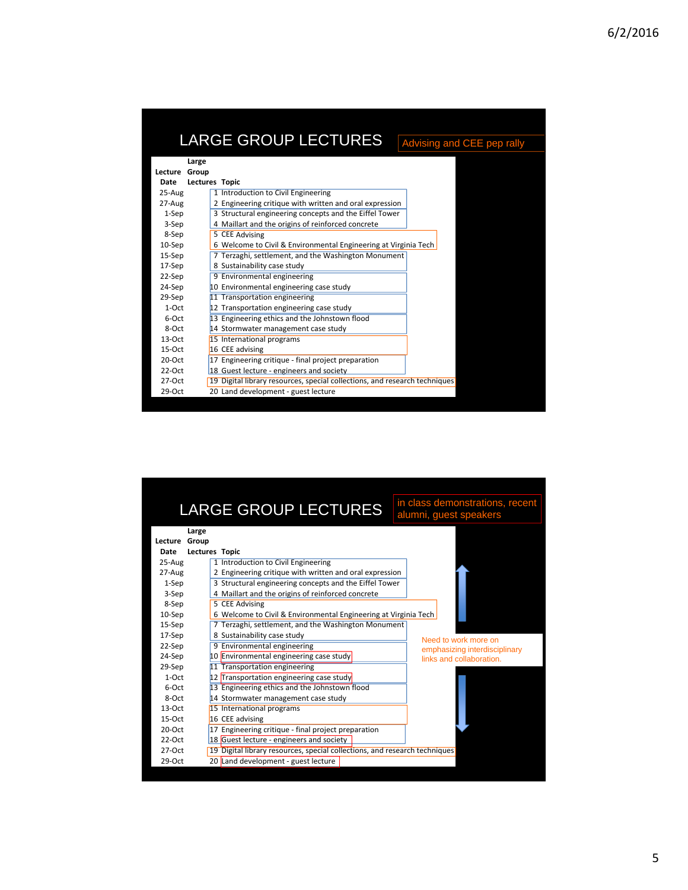|          | <b>LARGE GROUP LECTURES</b>                                                | Advising and CEE pep rally |
|----------|----------------------------------------------------------------------------|----------------------------|
|          | Large                                                                      |                            |
| Lecture  | Group                                                                      |                            |
| Date     | <b>Lectures Topic</b>                                                      |                            |
| 25-Aug   | 1 Introduction to Civil Engineering                                        |                            |
| 27-Aug   | 2 Engineering critique with written and oral expression                    |                            |
| $1-$ Sep | 3 Structural engineering concepts and the Eiffel Tower                     |                            |
| 3-Sep    | 4 Maillart and the origins of reinforced concrete                          |                            |
| 8-Sep    | 5 CEE Advising                                                             |                            |
| 10-Sep   | 6 Welcome to Civil & Environmental Engineering at Virginia Tech            |                            |
| 15-Sep   | 7 Terzaghi, settlement, and the Washington Monument                        |                            |
| 17-Sep   | 8 Sustainability case study                                                |                            |
| 22-Sep   | 9 Environmental engineering                                                |                            |
| 24-Sep   | 10 Environmental engineering case study                                    |                            |
| 29-Sep   | 11 Transportation engineering                                              |                            |
| $1-Ort$  | 12 Transportation engineering case study                                   |                            |
| 6-Oct    | 13 Engineering ethics and the Johnstown flood                              |                            |
| $8-Ort$  | 14 Stormwater management case study                                        |                            |
| $13-Ort$ | 15 International programs                                                  |                            |
| $15-Ort$ | 16 CEE advising                                                            |                            |
| $20-Ort$ | 17 Engineering critique - final project preparation                        |                            |
| $22-Ort$ | 18 Guest lecture - engineers and society                                   |                            |
| $27-Ort$ | 19 Digital library resources, special collections, and research techniques |                            |
| $29-Ort$ | 20 Land development - guest lecture                                        |                            |

| <b>LARGE GROUP LECTURES</b> |                       |                                                                            | in class demonstrations, recent<br>alumni, guest speakers |  |  |  |  |
|-----------------------------|-----------------------|----------------------------------------------------------------------------|-----------------------------------------------------------|--|--|--|--|
|                             | Large                 |                                                                            |                                                           |  |  |  |  |
|                             | Lecture Group         |                                                                            |                                                           |  |  |  |  |
| Date                        | <b>Lectures Topic</b> |                                                                            |                                                           |  |  |  |  |
| 25-Aug                      |                       | 1 Introduction to Civil Engineering                                        |                                                           |  |  |  |  |
| 27-Aug                      |                       | 2 Engineering critique with written and oral expression                    |                                                           |  |  |  |  |
| $1-Sep$                     |                       | 3 Structural engineering concepts and the Eiffel Tower                     |                                                           |  |  |  |  |
| 3-Sep                       |                       | 4 Maillart and the origins of reinforced concrete                          |                                                           |  |  |  |  |
| 8-Sep                       |                       | 5 CEE Advising                                                             |                                                           |  |  |  |  |
| 10-Sep                      |                       | 6 Welcome to Civil & Environmental Engineering at Virginia Tech            |                                                           |  |  |  |  |
| 15-Sep                      |                       | 7 Terzaghi, settlement, and the Washington Monument                        |                                                           |  |  |  |  |
| 17-Sep                      |                       | 8 Sustainability case study                                                | Need to work more on                                      |  |  |  |  |
| 22-Sep                      |                       | 9 Environmental engineering                                                | emphasizing interdisciplinary                             |  |  |  |  |
| 24-Sep                      |                       | 10 Environmental engineering case study                                    | links and collaboration.                                  |  |  |  |  |
| 29-Sep                      |                       | 11 Transportation engineering                                              |                                                           |  |  |  |  |
| $1-Ort$                     |                       | 12 Transportation engineering case study                                   |                                                           |  |  |  |  |
| $6-0ct$                     |                       | 13 Engineering ethics and the Johnstown flood                              |                                                           |  |  |  |  |
| 8-Oct                       |                       | 14 Stormwater management case study                                        |                                                           |  |  |  |  |
| $13-Ort$                    |                       | 15 International programs                                                  |                                                           |  |  |  |  |
| $15-Ort$                    |                       | 16 CEE advising                                                            |                                                           |  |  |  |  |
| $20-Ort$                    |                       | 17 Engineering critique - final project preparation                        |                                                           |  |  |  |  |
| $22-Ort$                    |                       | 18 Guest lecture - engineers and society                                   |                                                           |  |  |  |  |
| $27-Ort$                    |                       | 19 Digital library resources, special collections, and research techniques |                                                           |  |  |  |  |
| $29-Ort$                    |                       | 20 Land development - guest lecture                                        |                                                           |  |  |  |  |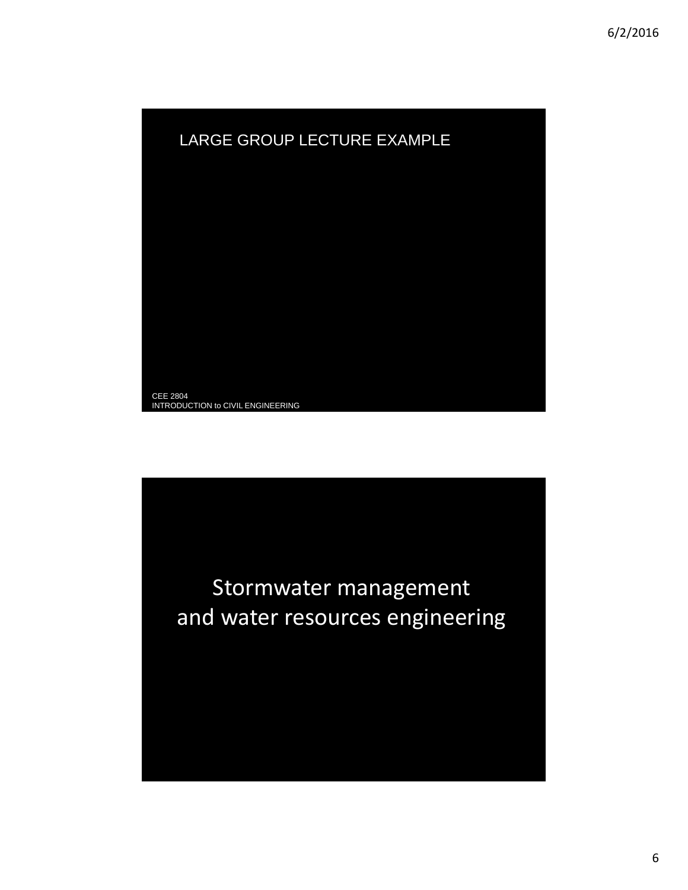

Stormwater management and water resources engineering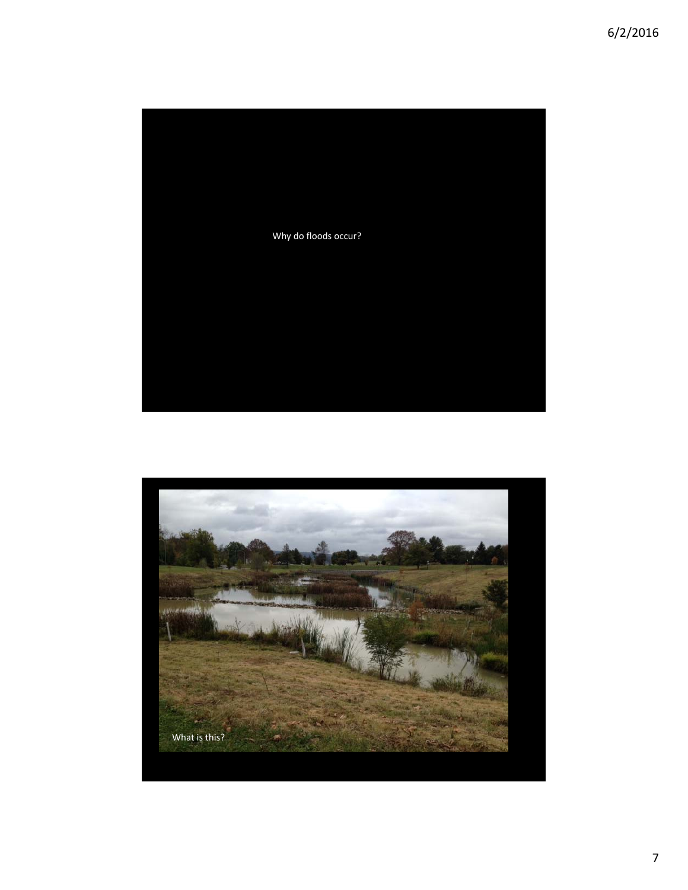

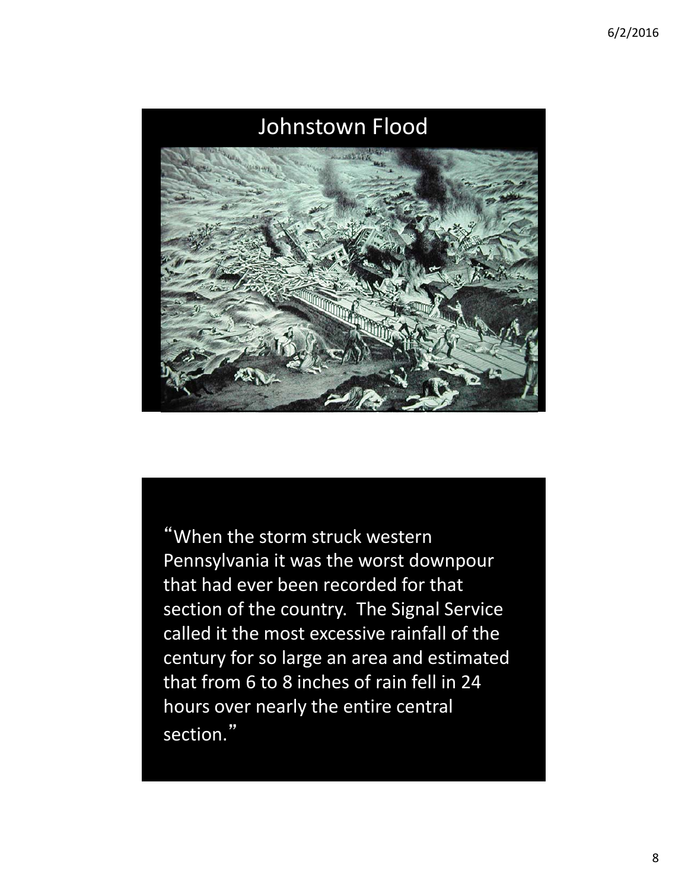

"When the storm struck western Pennsylvania it was the worst downpour that had ever been recorded for that section of the country. The Signal Service called it the most excessive rainfall of the century for so large an area and estimated that from 6 to 8 inches of rain fell in 24 hours over nearly the entire central section."

M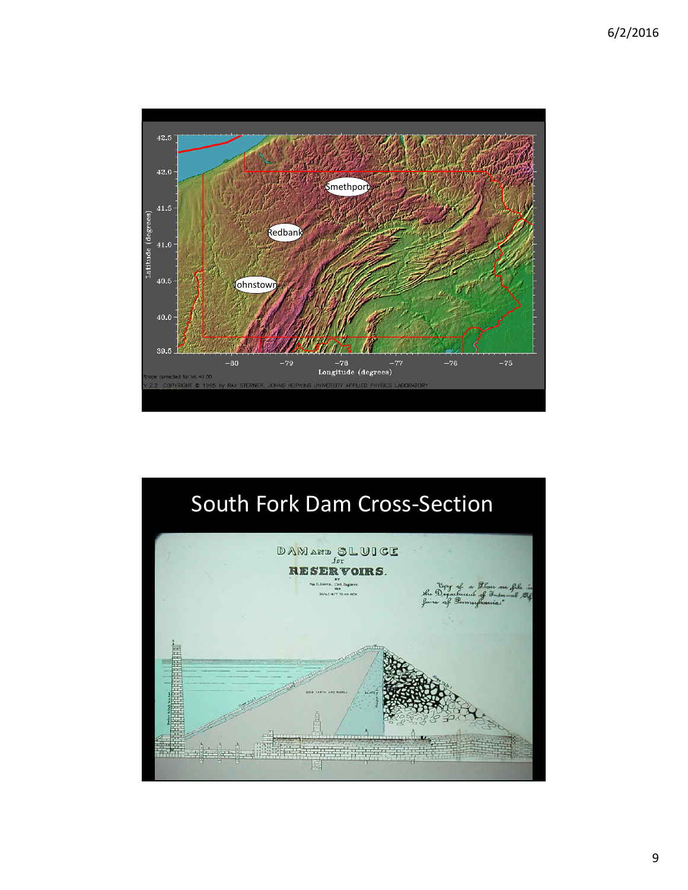

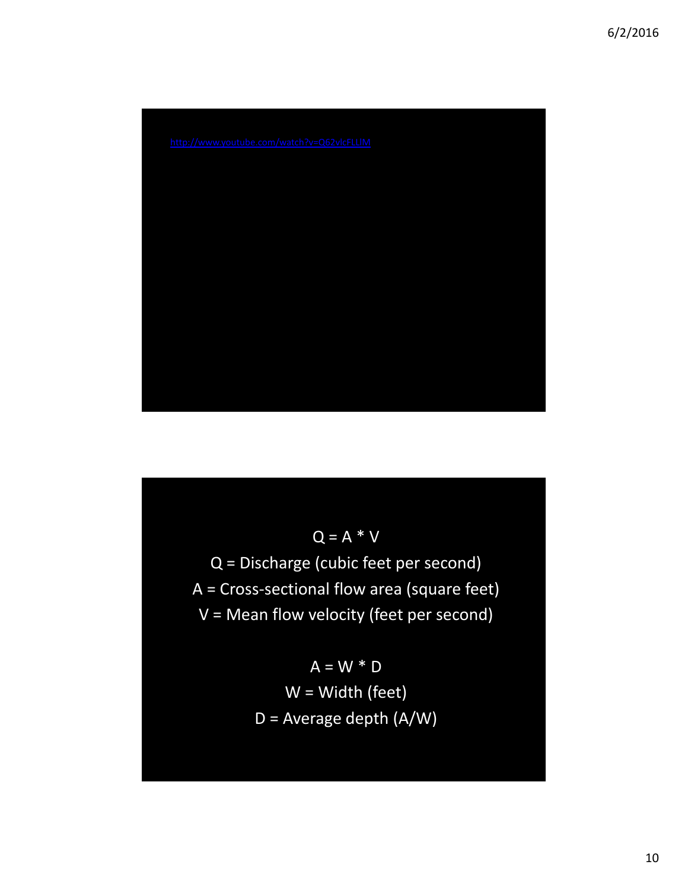

 $Q = A * V$ Q = Discharge (cubic feet per second) A = Cross‐sectional flow area (square feet) V = Mean flow velocity (feet per second)

> $A = W * D$ W = Width (feet) D = Average depth (A/W)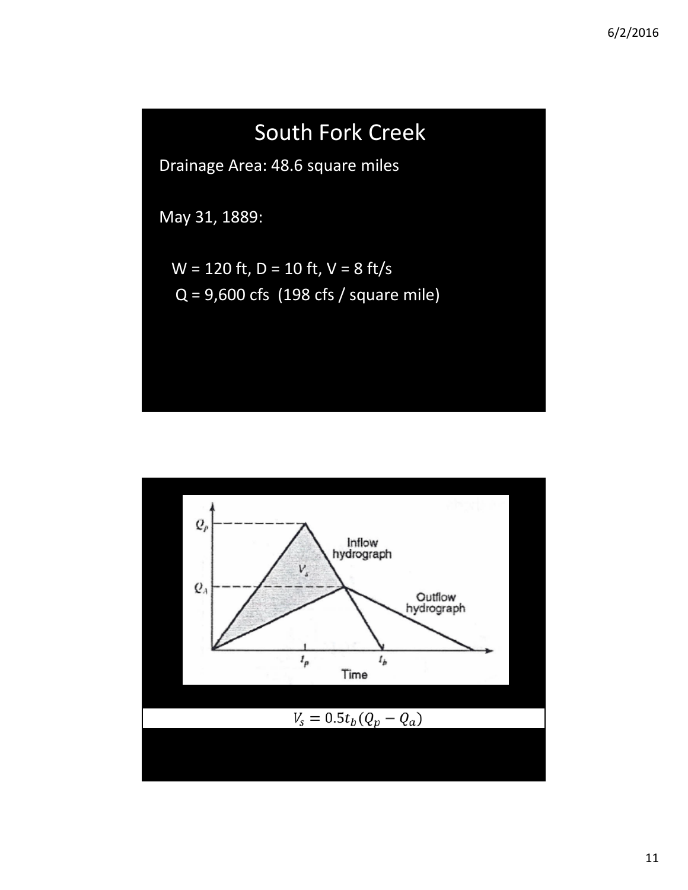

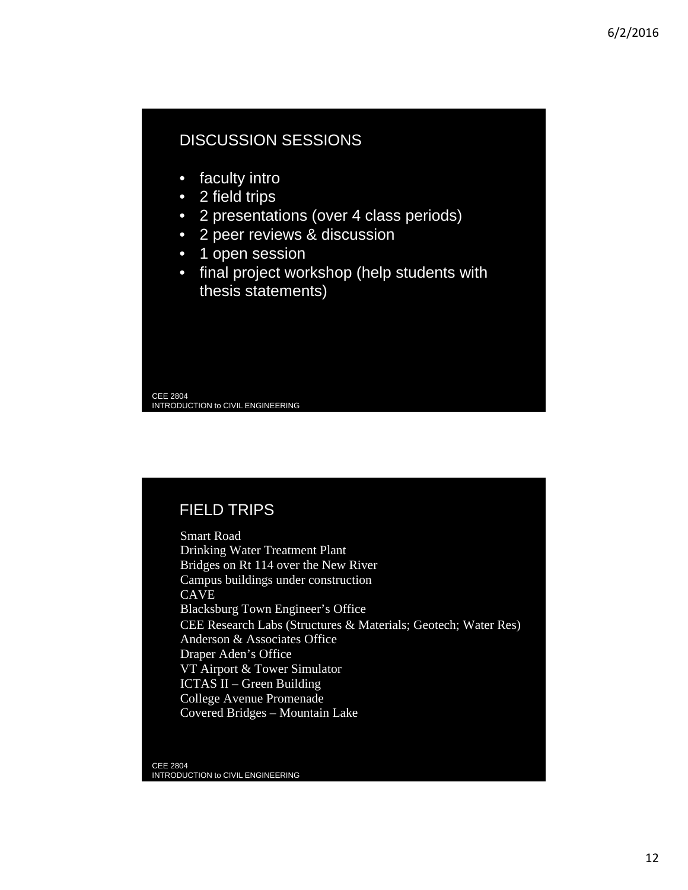### DISCUSSION SESSIONS

- faculty intro
- 2 field trips
- 2 presentations (over 4 class periods)
- 2 peer reviews & discussion
- 1 open session
- final project workshop (help students with thesis statements)

CEE 2804 INTRODUCTION to CIVIL ENGINEERING

## FIELD TRIPS

Smart Road Drinking Water Treatment Plant Bridges on Rt 114 over the New River Campus buildings under construction **CAVE** Blacksburg Town Engineer's Office CEE Research Labs (Structures & Materials; Geotech; Water Res) Anderson & Associates Office Draper Aden's Office VT Airport & Tower Simulator ICTAS II – Green Building College Avenue Promenade Covered Bridges – Mountain Lake

CEE 2804 INTRODUCTION to CIVIL ENGINEERING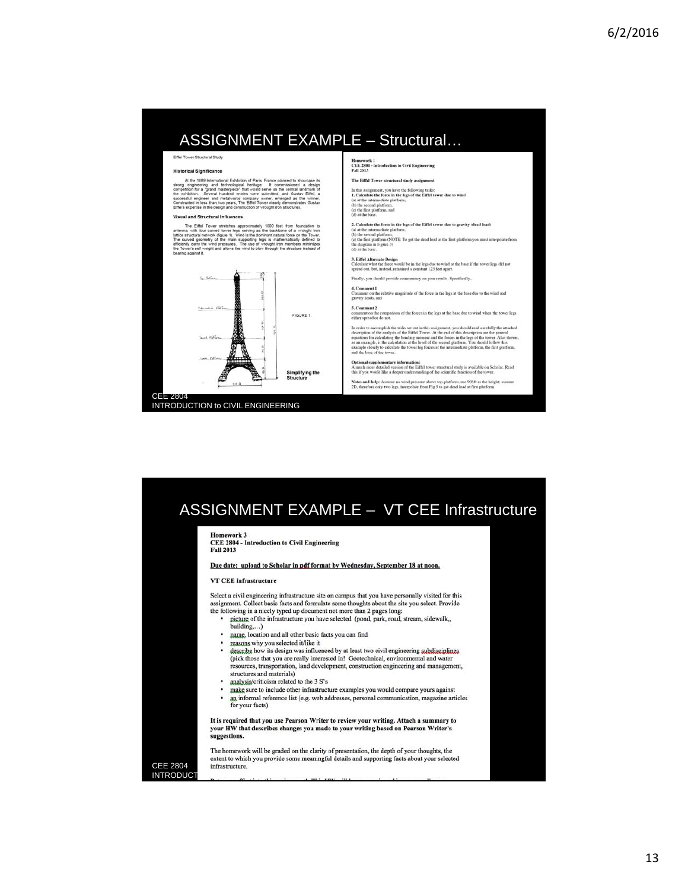## ASSIGNMENT EXAMPLE – Structural…

**Historical Significance** 

More 1889 International Exhibition of Paris, France planned to showcase its<br>prop engineering and technological heetage. It commissioned a design<br>competition for a "grand matterpiece" that would serve as the central landmar

### al and Structural Influences

The Eiffel Tower stretches approximately 1000 feet from foundation to<br>na, with Sur curved former feets eering as the backbone of a virtuosing linear<br>curved geometry of the main supporting legs is mathematically defined to<br>



INTRODUCTION to CIVIL ENGINEERING

Homework 1<br>CEE 2804 - Introduction to Civil Engineering<br>Fall 2013

The Eiffel Tower structural study assignment

In this assignment, you have the following tasks:<br>  $1$ . Calculate the force in the legs of the Eiffel tower due to wind (a) at the intermediate platform,<br>  $\phi$  is the intermediate platform,  $\phi$ <br>the first platform, and (b

2. Calculate the force in the legs of the Eiffel tower due to gravity (dead lead) (a) at the intermediate platform, <br>(b) the second platform, <br>(b) the second platform, <br>(c) the first platform post must interpolate from th

3. Eiffel Alternate Design<br> $\,$  calculate what the force would be in the legs due to wind at the base if the tower legs did not spread out, but, instead, remained a coust<br>ant 123 feet apart.

Finally, you should provide commentary on your results. Specifically  $\bf 4$  . Comment  $\bf 1$ <br> $\rm$  comment on the relative magnitude of the force in the legs at the base due to the wind and gravity loads, and

### 5. Comment 2

. Comment 2<br>comment co the comparison of the forces in the legs at the base due to wind when the tower legs<br>ither spread or do not.

In order to accomplish the tasks set out in this assignment, you should read carefully the attached decreption of the columbiated by the right lower. At the end of this left of the present home and the final state and the

Optional supplementary information:<br>A much more detailed version of the Eiffel tower structural study is available on Scholar. Read<br>this if you would like a deeper understanding of the scientific function of the tower. Notes and help: Assume no wind pressure above top platform, use 906ft as the height; assume 2D, therefore only two legs, interpolate from Fig 3 to get dead load at first platform.

# ASSIGNMENT EXAMPLE – VT CEE Infrastructure

### **Homework 3**

CEE 2804 - Introduction to Civil Engineering Fall 2013

### Due date: upload to Scholar in pdf format by Wednesday, September 18 at noon.

VT CEE infrastructure

Select a civil engineering infrastructure site on campus that you have personally visited for this assignment. Collect basic facts and formulate some thoughts about the site you select. Provide

- the following in a nicely typed up document not more than 2 pages long: picture of the infrastructure you have selected (pond, park, road, stream, sidewalk,, building,...) ٠
- name, location and all other basic facts you can find
- $\Delta$ reasons why you selected it/like it .
- describe how its design was influenced by at least two civil engineering subdisciplines (pick those that you are really interested in! Geotechnical, environmental and water resources, transportation, land development, construction engineering and management, structures and materials)
- analysis/criticism related to the 3 S's
- $\blacksquare$ make sure to include other infrastructure examples you would compare yours against an informal reference list (e.g. web addresses, personal communication, magazine articles
- for your facts)

It is required that you use Pearson Writer to review your writing. Attach a summary to your HW that describes changes you made to your writing based on Pearson Writer's suggestions.

The homework will be graded on the clarity of presentation, the depth of your thoughts, the extent to which you provide some meaningful details and supporting facts about your selected infrastructure.

CEE 2804 **INTRODUCT**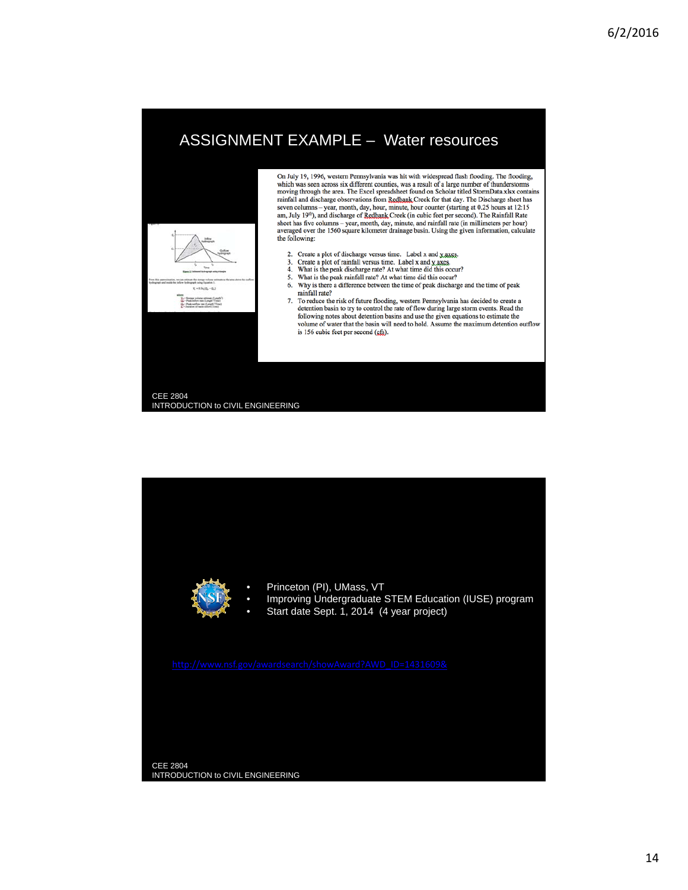# ASSIGNMENT EXAMPLE – Water resources



INTRODUCTION to CIVIL ENGINEERING

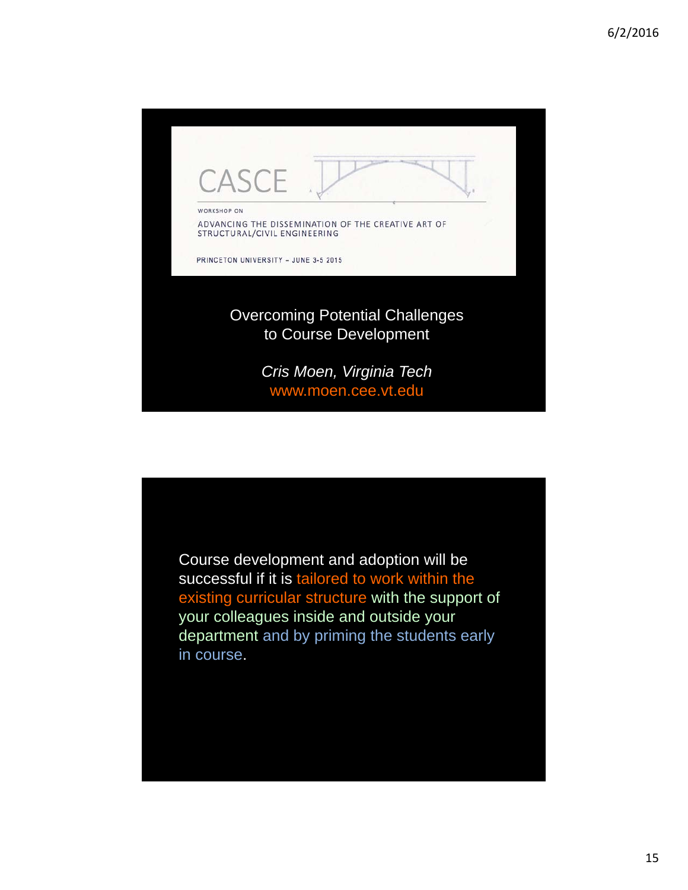

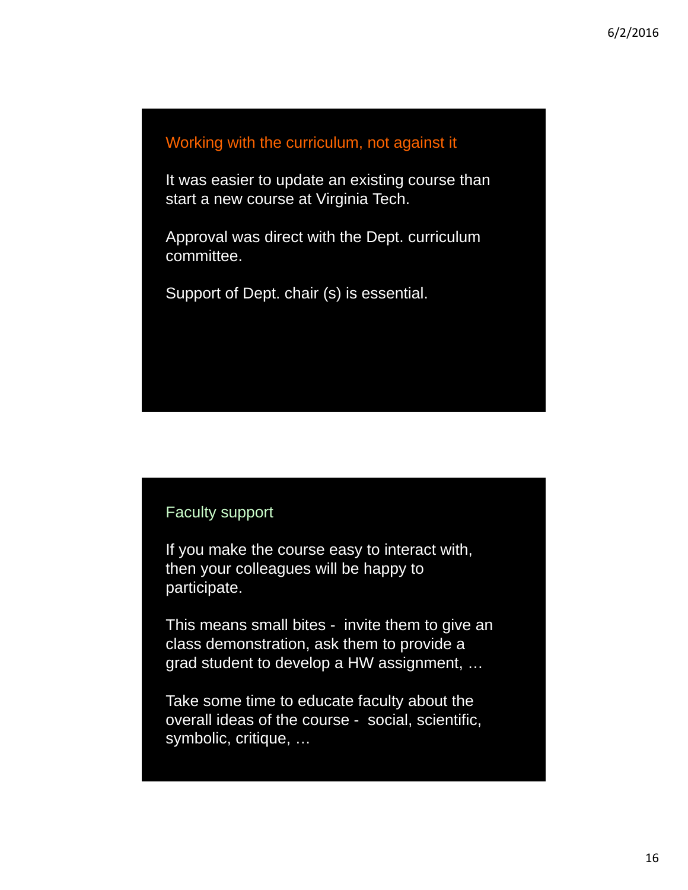## Working with the curriculum, not against it

It was easier to update an existing course than start a new course at Virginia Tech.

Approval was direct with the Dept. curriculum committee.

Support of Dept. chair (s) is essential.

# Faculty support

If you make the course easy to interact with, then your colleagues will be happy to participate.

This means small bites - invite them to give an class demonstration, ask them to provide a grad student to develop a HW assignment, …

Take some time to educate faculty about the overall ideas of the course - social, scientific, symbolic, critique, …